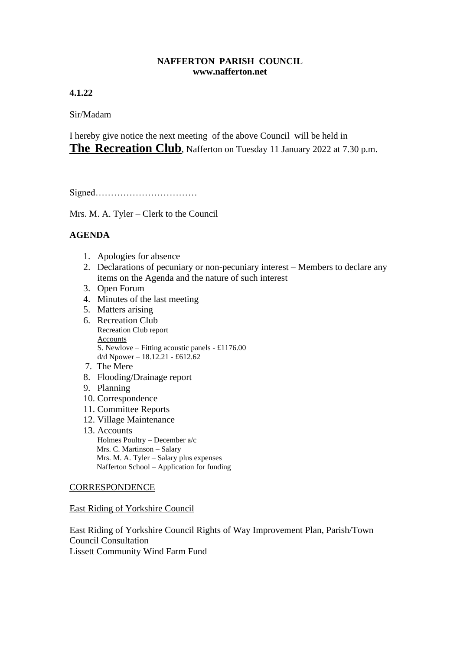## **NAFFERTON PARISH COUNCIL www.nafferton.net**

# **4.1.22**

Sir/Madam

I hereby give notice the next meeting of the above Council will be held in **The Recreation Club**, Nafferton on Tuesday 11 January 2022 at 7.30 p.m.

Signed……………………………

Mrs. M. A. Tyler – Clerk to the Council

# **AGENDA**

- 1. Apologies for absence
- 2. Declarations of pecuniary or non-pecuniary interest Members to declare any items on the Agenda and the nature of such interest
- 3. Open Forum
- 4. Minutes of the last meeting
- 5. Matters arising
- 6. Recreation Club Recreation Club report Accounts S. Newlove – Fitting acoustic panels - £1176.00  $d/d$  Npower – 18.12.21 - £612.62
- 7. The Mere
- 8. Flooding/Drainage report
- 9. Planning
- 10. Correspondence
- 11. Committee Reports
- 12. Village Maintenance
- 13. Accounts Holmes Poultry – December a/c Mrs. C. Martinson – Salary Mrs. M. A. Tyler – Salary plus expenses

Nafferton School – Application for funding

## **CORRESPONDENCE**

East Riding of Yorkshire Council

East Riding of Yorkshire Council Rights of Way Improvement Plan, Parish/Town Council Consultation Lissett Community Wind Farm Fund